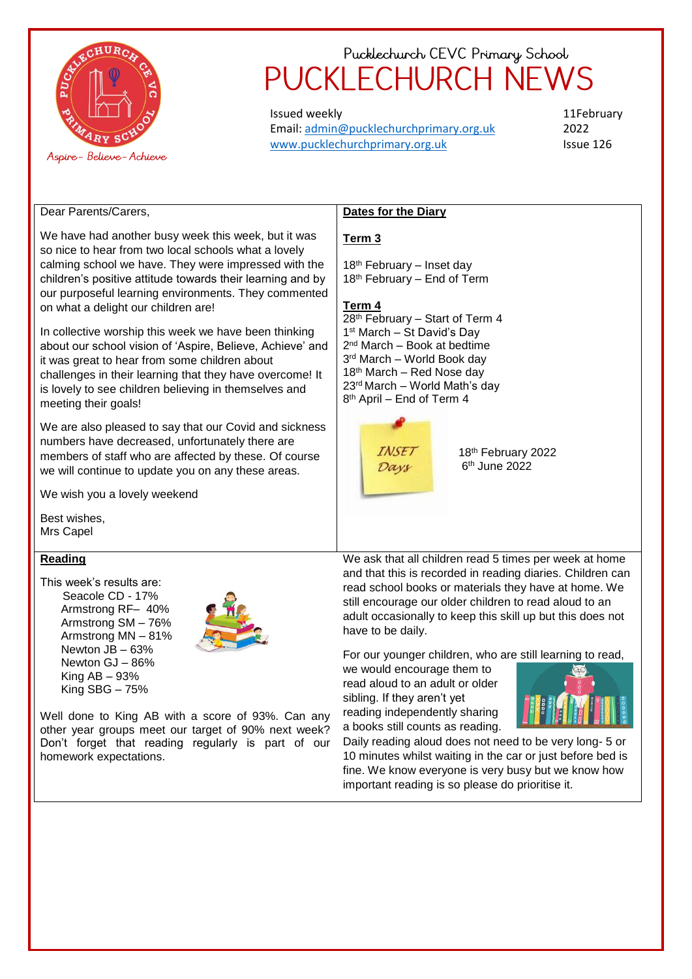

Issued weekly Email: [admin@pucklechurchprimary.org.uk](mailto:admin@pucklechurchprimary.org.uk) [www.pucklechurchprimary.org.uk](http://www.pucklechurchprimary.org.uk/)

11February 2022 Issue 126

Dear Parents/Carers,

We have had another busy week this week, but it was so nice to hear from two local schools what a lovely calming school we have. They were impressed with the children's positive attitude towards their learning and by our purposeful learning environments. They commented on what a delight our children are!

In collective worship this week we have been thinking about our school vision of 'Aspire, Believe, Achieve' and it was great to hear from some children about challenges in their learning that they have overcome! It is lovely to see children believing in themselves and meeting their goals!

We are also pleased to say that our Covid and sickness numbers have decreased, unfortunately there are members of staff who are affected by these. Of course we will continue to update you on any these areas.

We wish you a lovely weekend

Best wishes, Mrs Capel

## **Reading**

This week's results are: Seacole CD - 17% Armstrong RF– 40% Armstrong SM – 76% Armstrong MN – 81% Newton JB – 63% Newton GJ – 86% King AB – 93%

King SBG – 75%



Well done to King AB with a score of 93%. Can any other year groups meet our target of 90% next week? Don't forget that reading regularly is part of our homework expectations.

## **Dates for the Diary**

## **Term 3**

18<sup>th</sup> February – Inset day 18th February – End of Term

#### **Term 4**

 $28<sup>th</sup>$  February – Start of Term 4 st March – St David's Day nd March – Book at bedtime rd March – World Book day 18<sup>th</sup> March – Red Nose day rd March – World Math's day th April – End of Term 4



18th February 2022 6 th June 2022

We ask that all children read 5 times per week at home and that this is recorded in reading diaries. Children can read school books or materials they have at home. We still encourage our older children to read aloud to an adult occasionally to keep this skill up but this does not have to be daily.

For our younger children, who are still learning to read,

we would encourage them to read aloud to an adult or older sibling. If they aren't yet reading independently sharing a books still counts as reading.



Daily reading aloud does not need to be very long- 5 or 10 minutes whilst waiting in the car or just before bed is fine. We know everyone is very busy but we know how important reading is so please do prioritise it.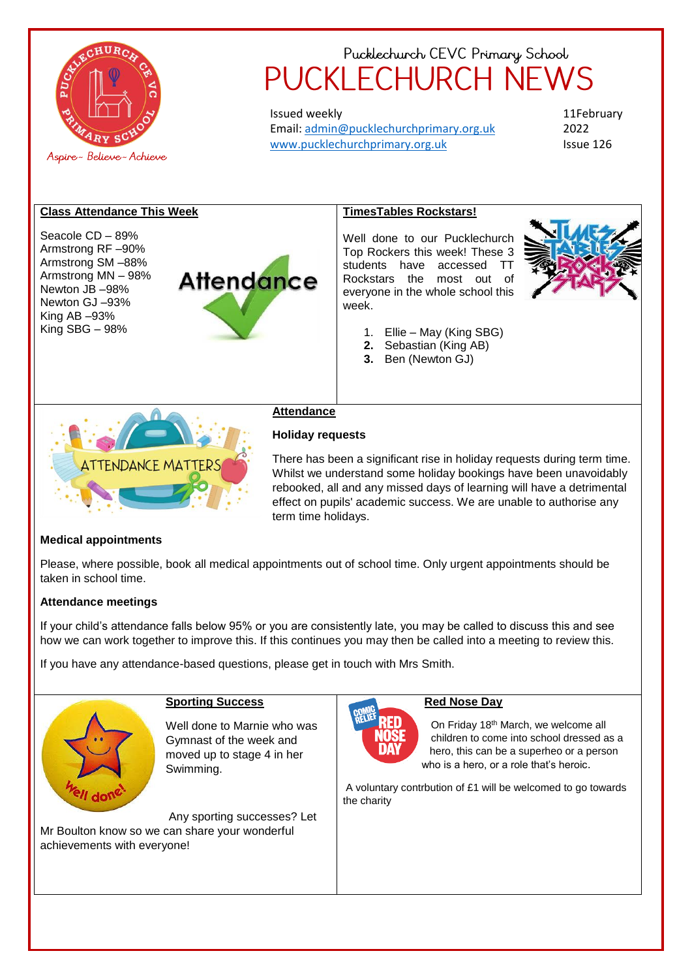

Issued weekly Email: [admin@pucklechurchprimary.org.uk](mailto:admin@pucklechurchprimary.org.uk) [www.pucklechurchprimary.org.uk](http://www.pucklechurchprimary.org.uk/)

11February 2022 Issue 126

## **Class Attendance This Week**

Seacole CD – 89% Armstrong RF –90% Armstrong SM –88% Armstrong MN – 98% Newton JB –98% Newton GJ –93% King AB –93% King SBG – 98%



#### **TimesTables Rockstars!**

Well done to our Pucklechurch Top Rockers this week! These 3 students have accessed TT Rockstars the most out of everyone in the whole school this week.



- 1. Ellie May (King SBG)
- **2.** Sebastian (King AB)
- **3.** Ben (Newton GJ)



#### **Attendance**

## **Holiday requests**

There has been a significant rise in holiday requests during term time. Whilst we understand some holiday bookings have been unavoidably rebooked, all and any missed days of learning will have a detrimental effect on pupils' academic success. We are unable to authorise any term time holidays.

#### **Medical appointments**

Please, where possible, book all medical appointments out of school time. Only urgent appointments should be taken in school time.

## **Attendance meetings**

If your child's attendance falls below 95% or you are consistently late, you may be called to discuss this and see how we can work together to improve this. If this continues you may then be called into a meeting to review this.

If you have any attendance-based questions, please get in touch with Mrs Smith.



## **Sporting Success**

Well done to Marnie who was Gymnast of the week and moved up to stage 4 in her Swimming.

Any sporting successes? Let Mr Boulton know so we can share your wonderful achievements with everyone!

#### **Red Nose Day**

On Friday 18th March, we welcome all children to come into school dressed as a hero, this can be a superheo or a person who is a hero, or a role that's heroic.

A voluntary contrbution of £1 will be welcomed to go towards the charity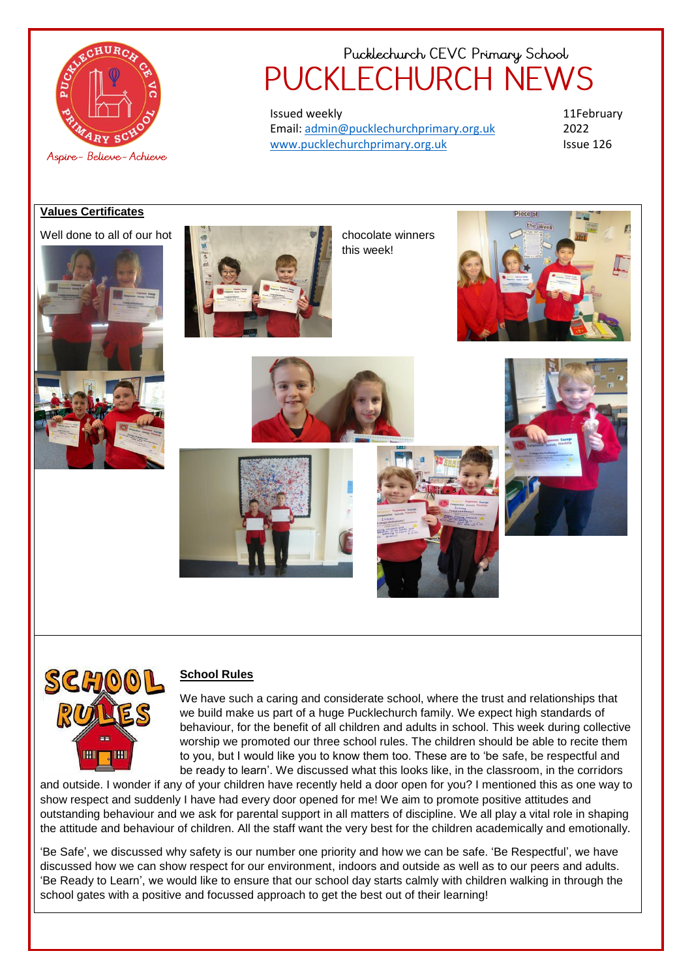

Issued weekly Email: [admin@pucklechurchprimary.org.uk](mailto:admin@pucklechurchprimary.org.uk) [www.pucklechurchprimary.org.uk](http://www.pucklechurchprimary.org.uk/)

11February 2022 Issue 126

## **Values Certificates**





this week!









#### **School Rules**

We have such a caring and considerate school, where the trust and relationships that we build make us part of a huge Pucklechurch family. We expect high standards of behaviour, for the benefit of all children and adults in school. This week during collective worship we promoted our three school rules. The children should be able to recite them to you, but I would like you to know them too. These are to 'be safe, be respectful and be ready to learn'. We discussed what this looks like, in the classroom, in the corridors

and outside. I wonder if any of your children have recently held a door open for you? I mentioned this as one way to show respect and suddenly I have had every door opened for me! We aim to promote positive attitudes and outstanding behaviour and we ask for parental support in all matters of discipline. We all play a vital role in shaping the attitude and behaviour of children. All the staff want the very best for the children academically and emotionally.

'Be Safe', we discussed why safety is our number one priority and how we can be safe. 'Be Respectful', we have discussed how we can show respect for our environment, indoors and outside as well as to our peers and adults. 'Be Ready to Learn', we would like to ensure that our school day starts calmly with children walking in through the school gates with a positive and focussed approach to get the best out of their learning!